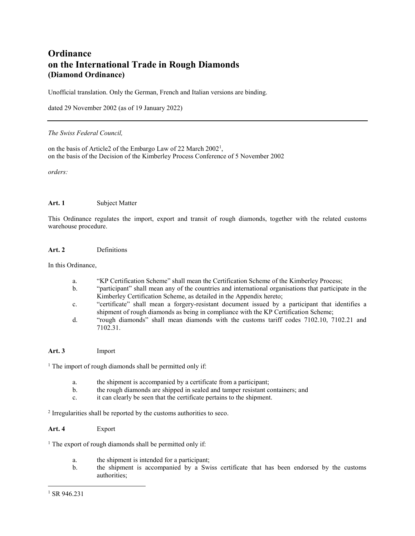# **Ordinance on the International Trade in Rough Diamonds (Diamond Ordinance)**

Unofficial translation. Only the German, French and Italian versions are binding.

dated 29 November 2002 (as of 19 January 2022)

#### *The Swiss Federal Council,*

on the basis of Article2 of the Embargo Law of 22 March 2002<sup>1</sup>, on the basis of the Decision of the Kimberley Process Conference of 5 November 2002

*orders:*

#### **Art. 1** Subject Matter

This Ordinance regulates the import, export and transit of rough diamonds, together with the related customs warehouse procedure.

#### **Art. 2** Definitions

In this Ordinance,

- a. "KP Certification Scheme" shall mean the Certification Scheme of the Kimberley Process;
- b. "participant" shall mean any of the countries and international organisations that participate in the Kimberley Certification Scheme, as detailed in the Appendix hereto;
- c. "certificate" shall mean a forgery-resistant document issued by a participant that identifies a shipment of rough diamonds as being in compliance with the KP Certification Scheme;
- d. "rough diamonds" shall mean diamonds with the customs tariff codes 7102.10, 7102.21 and 7102.31.

## **Art. 3** Import

 $<sup>1</sup>$  The import of rough diamonds shall be permitted only if:</sup>

- a. the shipment is accompanied by a certificate from a participant;
- b. the rough diamonds are shipped in sealed and tamper resistant containers; and
- c. it can clearly be seen that the certificate pertains to the shipment.

<sup>2</sup> Irregularities shall be reported by the customs authorities to seco.

## **Art. 4** Export

 $1$  The export of rough diamonds shall be permitted only if:

- a. the shipment is intended for a participant;
- b. the shipment is accompanied by a Swiss certificate that has been endorsed by the customs authorities;

 $\overline{a}$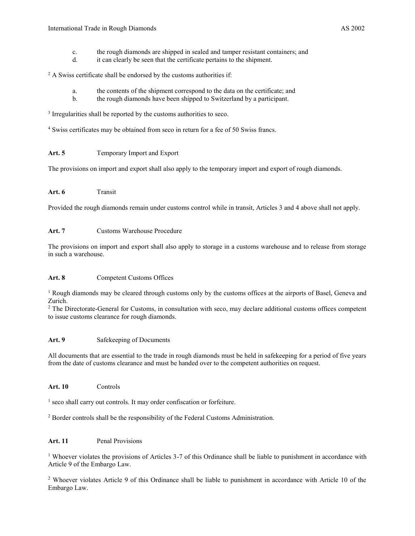- c. the rough diamonds are shipped in sealed and tamper resistant containers; and
- d. it can clearly be seen that the certificate pertains to the shipment.

 $2 A$  Swiss certificate shall be endorsed by the customs authorities if:

- a. the contents of the shipment correspond to the data on the certificate; and
- b. the rough diamonds have been shipped to Switzerland by a participant.

<sup>3</sup> Irregularities shall be reported by the customs authorities to seco.

<sup>4</sup> Swiss certificates may be obtained from seco in return for a fee of 50 Swiss francs.

# Art. 5 Temporary Import and Export

The provisions on import and export shall also apply to the temporary import and export of rough diamonds.

## **Art. 6** Transit

Provided the rough diamonds remain under customs control while in transit, Articles 3 and 4 above shall not apply.

# **Art. 7** Customs Warehouse Procedure

The provisions on import and export shall also apply to storage in a customs warehouse and to release from storage in such a warehouse.

## Art. 8 Competent Customs Offices

<sup>1</sup> Rough diamonds may be cleared through customs only by the customs offices at the airports of Basel, Geneva and Zurich.

<sup>2</sup> The Directorate-General for Customs, in consultation with seco, may declare additional customs offices competent to issue customs clearance for rough diamonds.

## Art. 9 Safekeeping of Documents

All documents that are essential to the trade in rough diamonds must be held in safekeeping for a period of five years from the date of customs clearance and must be handed over to the competent authorities on request.

## **Art. 10** Controls

<sup>1</sup> seco shall carry out controls. It may order confiscation or forfeiture.

<sup>2</sup> Border controls shall be the responsibility of the Federal Customs Administration.

## **Art. 11** Penal Provisions

<sup>1</sup> Whoever violates the provisions of Articles 3-7 of this Ordinance shall be liable to punishment in accordance with Article 9 of the Embargo Law.

<sup>2</sup> Whoever violates Article 9 of this Ordinance shall be liable to punishment in accordance with Article 10 of the Embargo Law.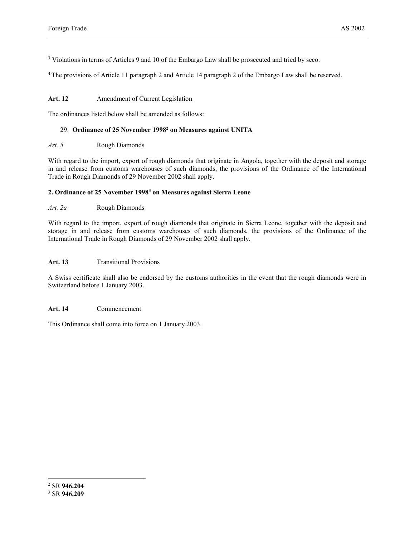<sup>3</sup> Violations in terms of Articles 9 and 10 of the Embargo Law shall be prosecuted and tried by seco.

<sup>4</sup>The provisions of Article 11 paragraph 2 and Article 14 paragraph 2 of the Embargo Law shall be reserved.

## Art. 12 **Amendment of Current Legislation**

The ordinances listed below shall be amended as follows:

## 29. **Ordinance of 25 November 1998<sup>2</sup> on Measures against UNITA**

## *Art. 5* Rough Diamonds

With regard to the import, export of rough diamonds that originate in Angola, together with the deposit and storage in and release from customs warehouses of such diamonds, the provisions of the Ordinance of the International Trade in Rough Diamonds of 29 November 2002 shall apply.

# **2. Ordinance of 25 November 1998<sup>3</sup> on Measures against Sierra Leone**

*Art. 2a* Rough Diamonds

With regard to the import, export of rough diamonds that originate in Sierra Leone, together with the deposit and storage in and release from customs warehouses of such diamonds, the provisions of the Ordinance of the International Trade in Rough Diamonds of 29 November 2002 shall apply.

## Art. 13 **Transitional Provisions**

A Swiss certificate shall also be endorsed by the customs authorities in the event that the rough diamonds were in Switzerland before 1 January 2003.

## **Art. 14** Commencement

This Ordinance shall come into force on 1 January 2003.

 $\overline{a}$ 

<sup>2</sup> SR **946.204**

<sup>3</sup> SR **946.209**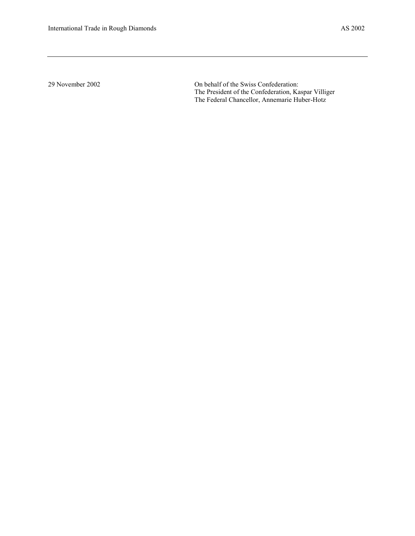29 November 2002 On behalf of the Swiss Confederation: The President of the Confederation, Kaspar Villiger The Federal Chancellor, Annemarie Huber-Hotz